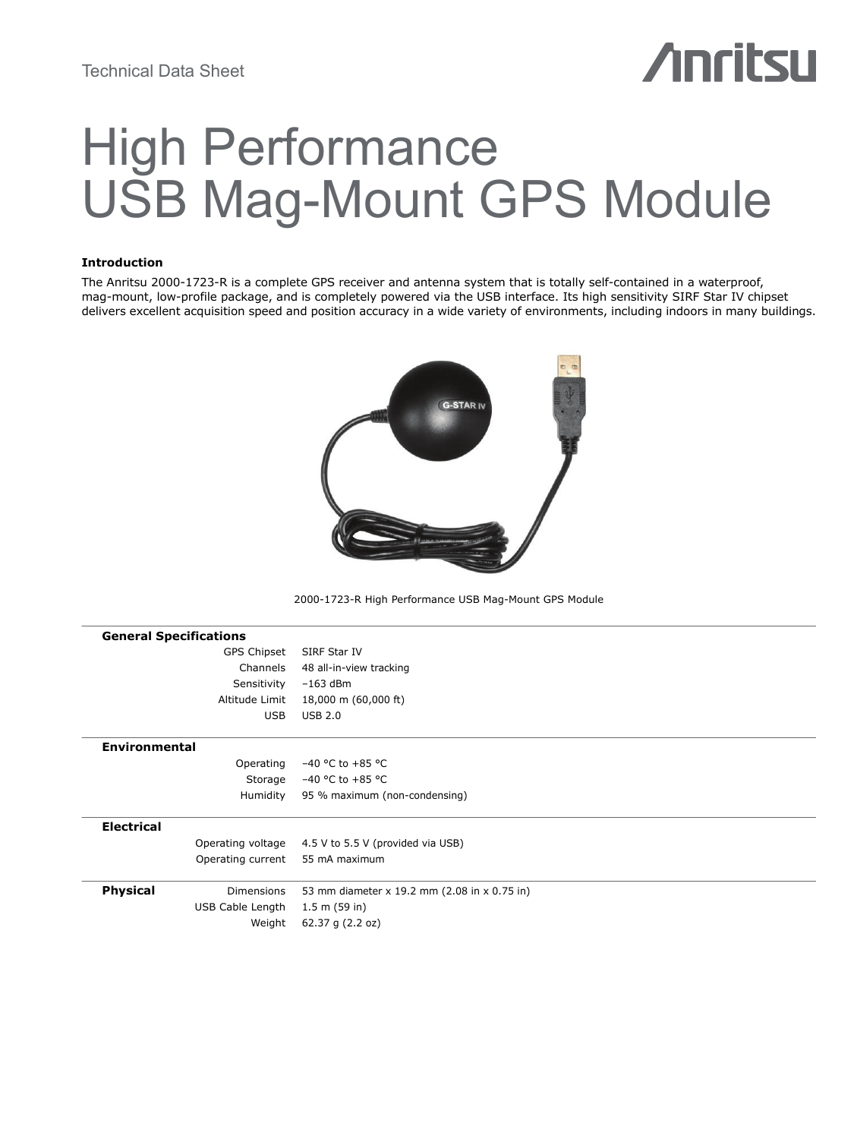# **Anritsu**

# High Performance USB Mag-Mount GPS Module

# **Introduction**

The Anritsu 2000-1723-R is a complete GPS receiver and antenna system that is totally self-contained in a waterproof, mag-mount, low-profile package, and is completely powered via the USB interface. Its high sensitivity SIRF Star IV chipset delivers excellent acquisition speed and position accuracy in a wide variety of environments, including indoors in many buildings.



2000-1723-R High Performance USB Mag-Mount GPS Module

| <b>General Specifications</b>        |                                              |
|--------------------------------------|----------------------------------------------|
| GPS Chipset                          | SIRF Star IV                                 |
| Channels                             | 48 all-in-view tracking                      |
| Sensitivity                          | $-163$ dBm                                   |
| Altitude Limit                       | 18,000 m (60,000 ft)                         |
| <b>USB</b>                           | <b>USB 2.0</b>                               |
| <b>Environmental</b>                 |                                              |
| Operating                            | $-40$ °C to $+85$ °C                         |
| Storage                              | $-40$ °C to $+85$ °C                         |
| Humidity                             | 95 % maximum (non-condensing)                |
| <b>Electrical</b>                    |                                              |
| Operating voltage                    | 4.5 V to 5.5 V (provided via USB)            |
| Operating current                    | 55 mA maximum                                |
| <b>Physical</b><br><b>Dimensions</b> | 53 mm diameter x 19.2 mm (2.08 in x 0.75 in) |
| USB Cable Length                     | 1.5 m (59 in)                                |
| Weight                               | 62.37 g (2.2 oz)                             |
|                                      |                                              |